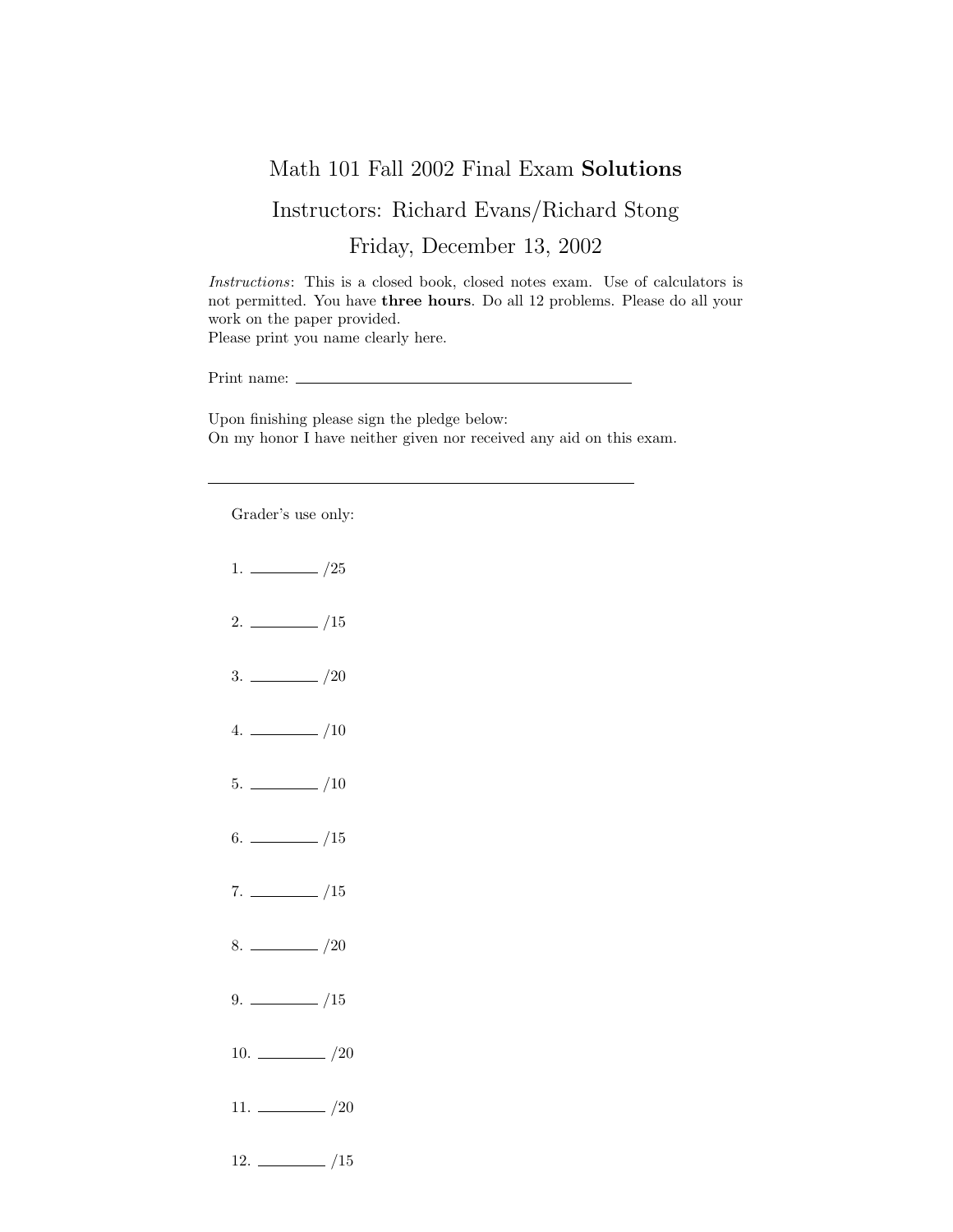## Math 101 Fall 2002 Final Exam Solutions

## Instructors: Richard Evans/Richard Stong

Friday, December 13, 2002

Instructions: This is a closed book, closed notes exam. Use of calculators is not permitted. You have three hours. Do all 12 problems. Please do all your work on the paper provided. Please print you name clearly here.

Print name:  $\_\_$ 

Upon finishing please sign the pledge below: On my honor I have neither given nor received any aid on this exam.

Grader's use only:

 $1. \ \_ \ \_ \ /25$  $2. \ \frac{\ }{\ }$  /15  $3. \ \_$  /20  $4.$   $\frac{\phantom{1}}{\phantom{1}}$  /10  $5. \ \_$ /10  $6.$  /15  $7. \ \_/15$  $8. \ \_ 20$  $9. \ \_ \ \_ \ /15$ 10.  $\frac{10}{20}$ 11.  $\frac{1}{20}$  $12. \ \_$ /15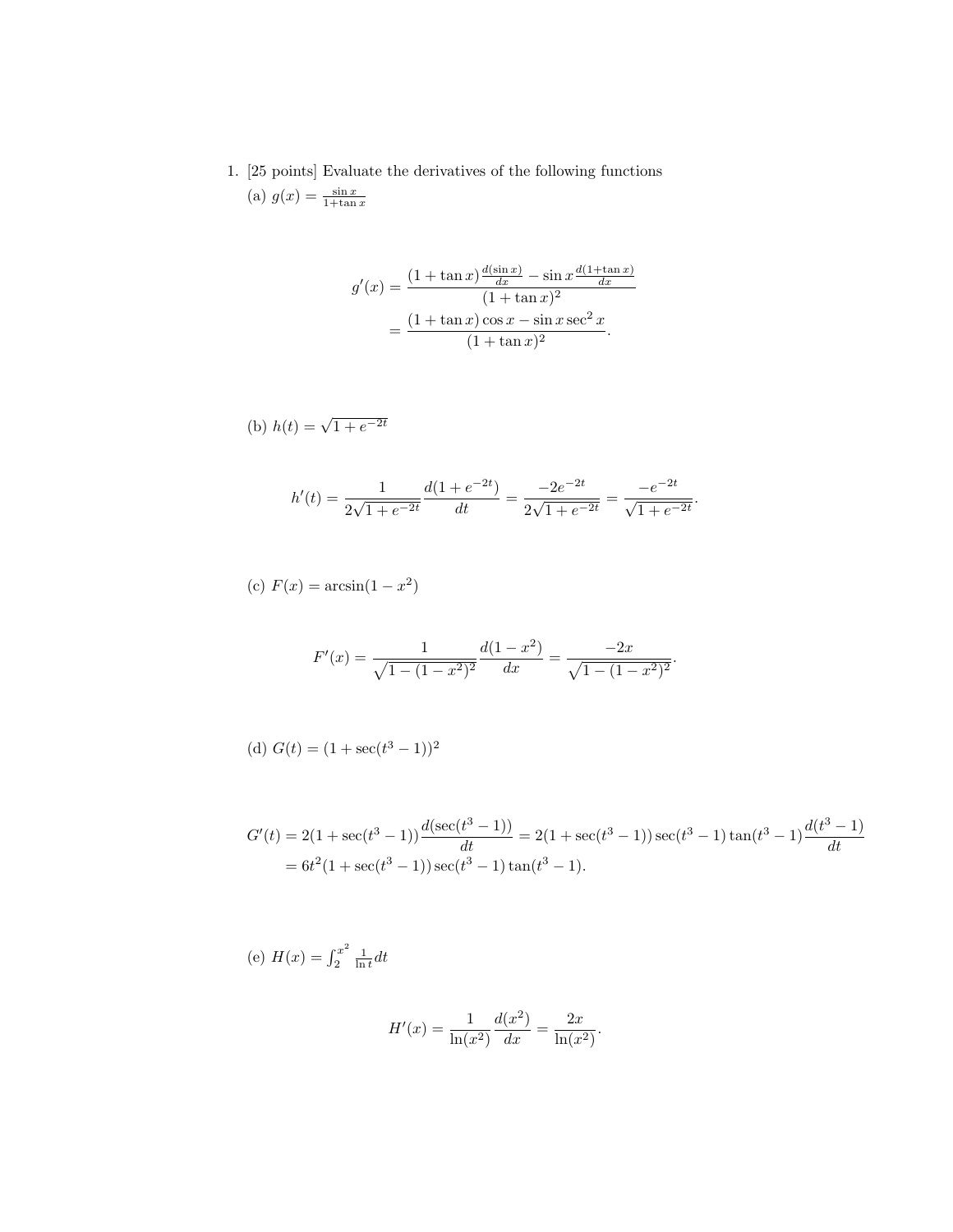1. [25 points] Evaluate the derivatives of the following functions (a)  $g(x) = \frac{\sin x}{1 + \tan x}$ 

$$
g'(x) = \frac{(1 + \tan x) \frac{d(\sin x)}{dx} - \sin x \frac{d(1 + \tan x)}{dx}}{(1 + \tan x)^2}
$$

$$
= \frac{(1 + \tan x) \cos x - \sin x \sec^2 x}{(1 + \tan x)^2}.
$$

(b) 
$$
h(t) = \sqrt{1 + e^{-2t}}
$$

$$
h'(t) = \frac{1}{2\sqrt{1+e^{-2t}}} \frac{d(1+e^{-2t})}{dt} = \frac{-2e^{-2t}}{2\sqrt{1+e^{-2t}}} = \frac{-e^{-2t}}{\sqrt{1+e^{-2t}}}.
$$

(c) 
$$
F(x) = \arcsin(1 - x^2)
$$

$$
F'(x) = \frac{1}{\sqrt{1 - (1 - x^2)^2}} \frac{d(1 - x^2)}{dx} = \frac{-2x}{\sqrt{1 - (1 - x^2)^2}}.
$$

(d) 
$$
G(t) = (1 + \sec(t^3 - 1))^2
$$

$$
G'(t) = 2(1 + \sec(t^3 - 1)) \frac{d(\sec(t^3 - 1))}{dt} = 2(1 + \sec(t^3 - 1)) \sec(t^3 - 1) \tan(t^3 - 1) \frac{d(t^3 - 1)}{dt}
$$
  
=  $6t^2(1 + \sec(t^3 - 1)) \sec(t^3 - 1) \tan(t^3 - 1).$ 

(e) 
$$
H(x) = \int_2^{x^2} \frac{1}{\ln t} dt
$$
  

$$
H'(x) = \frac{1}{\ln(x^2)} \frac{d(x^2)}{dx} = \frac{2x}{\ln(x^2)}.
$$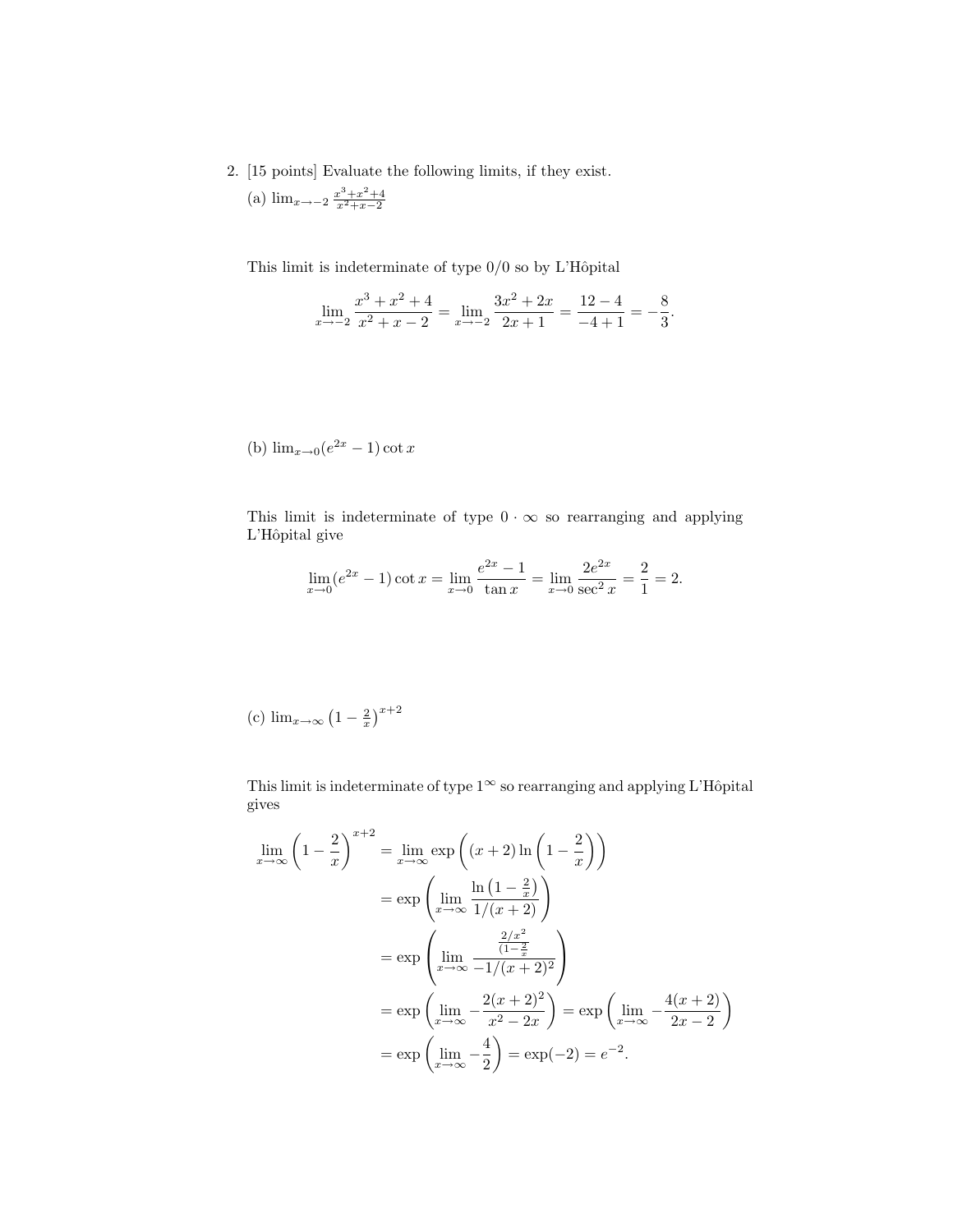2. [15 points] Evaluate the following limits, if they exist. (a)  $\lim_{x \to -2} \frac{x^3 + x^2 + 4}{x^2 + x - 2}$ 

This limit is indeterminate of type  $0/0$  so by L'Hôpital

$$
\lim_{x \to -2} \frac{x^3 + x^2 + 4}{x^2 + x - 2} = \lim_{x \to -2} \frac{3x^2 + 2x}{2x + 1} = \frac{12 - 4}{-4 + 1} = -\frac{8}{3}.
$$

(b) 
$$
\lim_{x \to 0} (e^{2x} - 1) \cot x
$$

This limit is indeterminate of type  $0 \cdot \infty$  so rearranging and applying L'Hôpital give

$$
\lim_{x \to 0} (e^{2x} - 1) \cot x = \lim_{x \to 0} \frac{e^{2x} - 1}{\tan x} = \lim_{x \to 0} \frac{2e^{2x}}{\sec^2 x} = \frac{2}{1} = 2.
$$

(c) 
$$
\lim_{x \to \infty} \left(1 - \frac{2}{x}\right)^{x+2}
$$

This limit is indeterminate of type  $1^\infty$  so rearranging and applying L'Hôpital gives

$$
\lim_{x \to \infty} \left( 1 - \frac{2}{x} \right)^{x+2} = \lim_{x \to \infty} \exp\left( (x+2) \ln\left( 1 - \frac{2}{x} \right) \right)
$$

$$
= \exp\left( \lim_{x \to \infty} \frac{\ln\left( 1 - \frac{2}{x} \right)}{1/(x+2)} \right)
$$

$$
= \exp\left( \lim_{x \to \infty} \frac{\frac{2/x^2}{(1-\frac{2}{x})}}{-1/(x+2)^2} \right)
$$

$$
= \exp\left( \lim_{x \to \infty} -\frac{2(x+2)^2}{x^2-2x} \right) = \exp\left( \lim_{x \to \infty} -\frac{4(x+2)}{2x-2} \right)
$$

$$
= \exp\left( \lim_{x \to \infty} -\frac{4}{2} \right) = \exp(-2) = e^{-2}.
$$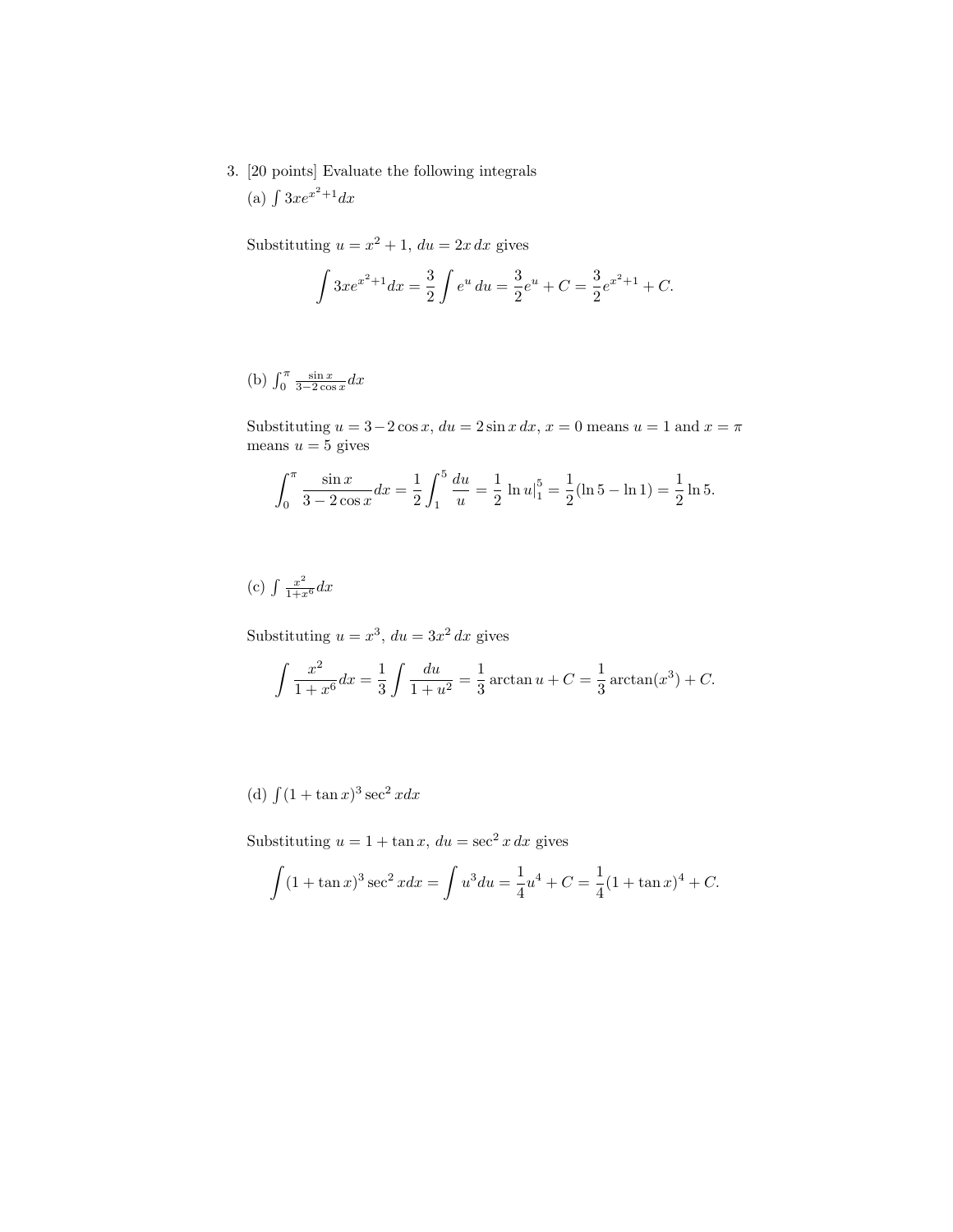3. [20 points] Evaluate the following integrals (a)  $\int 3xe^{x^2+1}dx$ 

Substituting  $u = x^2 + 1$ ,  $du = 2x dx$  gives

$$
\int 3xe^{x^2+1}dx = \frac{3}{2}\int e^u du = \frac{3}{2}e^u + C = \frac{3}{2}e^{x^2+1} + C.
$$

(b)  $\int_0^\pi \frac{\sin x}{3-2\cos x} dx$ 

Substituting  $u = 3-2\cos x$ ,  $du = 2\sin x dx$ ,  $x = 0$  means  $u = 1$  and  $x = \pi$ means  $u = 5$  gives

$$
\int_0^\pi \frac{\sin x}{3 - 2\cos x} dx = \frac{1}{2} \int_1^5 \frac{du}{u} = \frac{1}{2} \ln u \Big|_1^5 = \frac{1}{2} (\ln 5 - \ln 1) = \frac{1}{2} \ln 5.
$$

## (c)  $\int \frac{x^2}{1+x^6} dx$

Substituting  $u = x^3$ ,  $du = 3x^2 dx$  gives

$$
\int \frac{x^2}{1+x^6} dx = \frac{1}{3} \int \frac{du}{1+u^2} = \frac{1}{3} \arctan u + C = \frac{1}{3} \arctan(x^3) + C.
$$

(d)  $\int (1 + \tan x)^3 \sec^2 x dx$ 

Substituting  $u = 1 + \tan x$ ,  $du = \sec^2 x dx$  gives

$$
\int (1 + \tan x)^3 \sec^2 x dx = \int u^3 du = \frac{1}{4}u^4 + C = \frac{1}{4}(1 + \tan x)^4 + C.
$$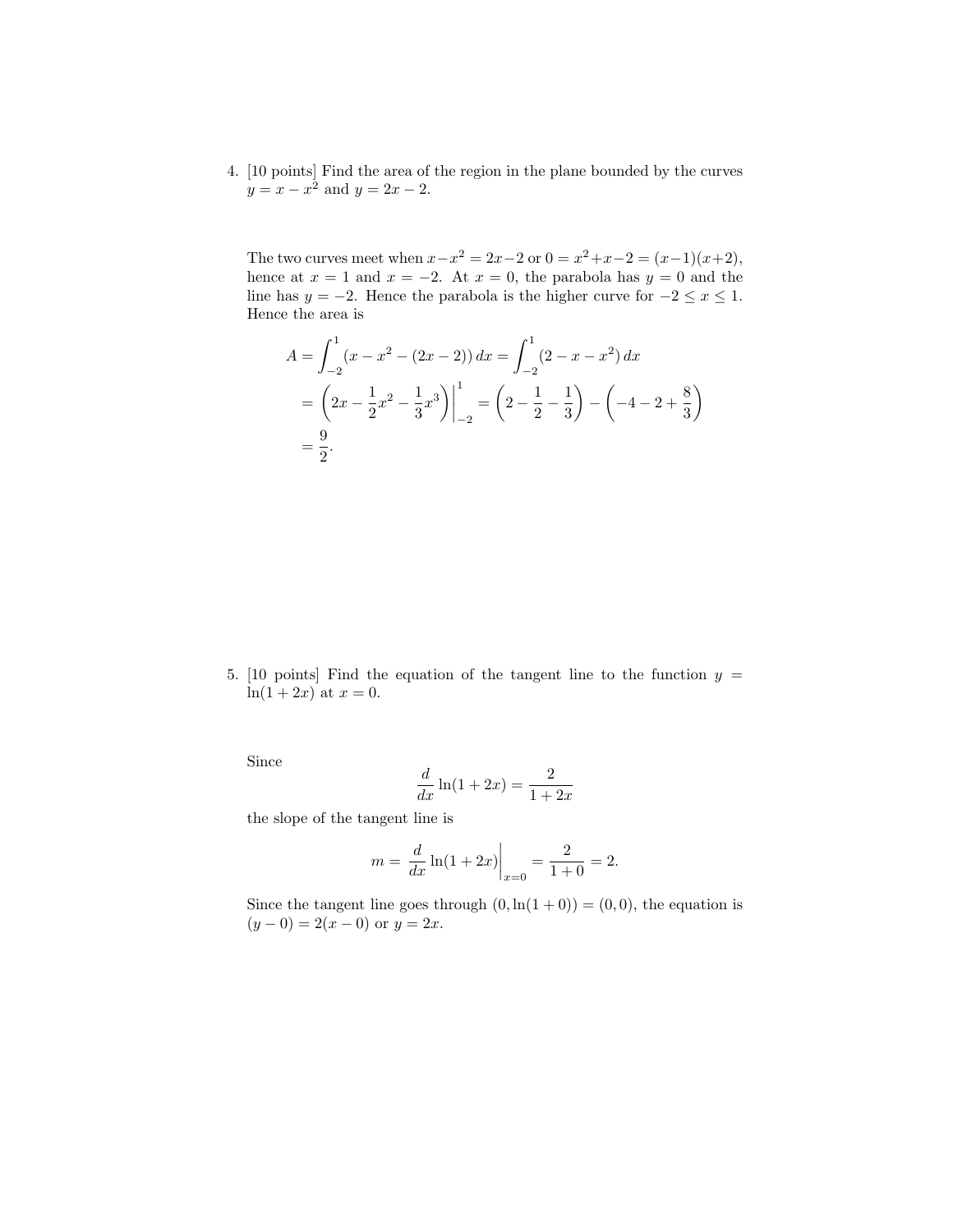4. [10 points] Find the area of the region in the plane bounded by the curves  $y = x - x^2$  and  $y = 2x - 2$ .

The two curves meet when  $x-x^2 = 2x-2$  or  $0 = x^2+x-2 = (x-1)(x+2)$ , hence at  $x = 1$  and  $x = -2$ . At  $x = 0$ , the parabola has  $y = 0$  and the line has  $y = -2$ . Hence the parabola is the higher curve for  $-2 \le x \le 1$ . Hence the area is

$$
A = \int_{-2}^{1} (x - x^2 - (2x - 2)) dx = \int_{-2}^{1} (2 - x - x^2) dx
$$
  
=  $\left(2x - \frac{1}{2}x^2 - \frac{1}{3}x^3\right)\Big|_{-2}^{1} = \left(2 - \frac{1}{2} - \frac{1}{3}\right) - \left(-4 - 2 + \frac{8}{3}\right)$   
=  $\frac{9}{2}$ .

5. [10 points] Find the equation of the tangent line to the function  $y =$  $ln(1 + 2x)$  at  $x = 0$ .

Since

$$
\frac{d}{dx}\ln(1+2x) = \frac{2}{1+2x}
$$

the slope of the tangent line is

$$
m = \frac{d}{dx}\ln(1+2x)\Big|_{x=0} = \frac{2}{1+0} = 2.
$$

Since the tangent line goes through  $(0, \ln(1+0)) = (0, 0)$ , the equation is  $(y-0) = 2(x - 0)$  or  $y = 2x$ .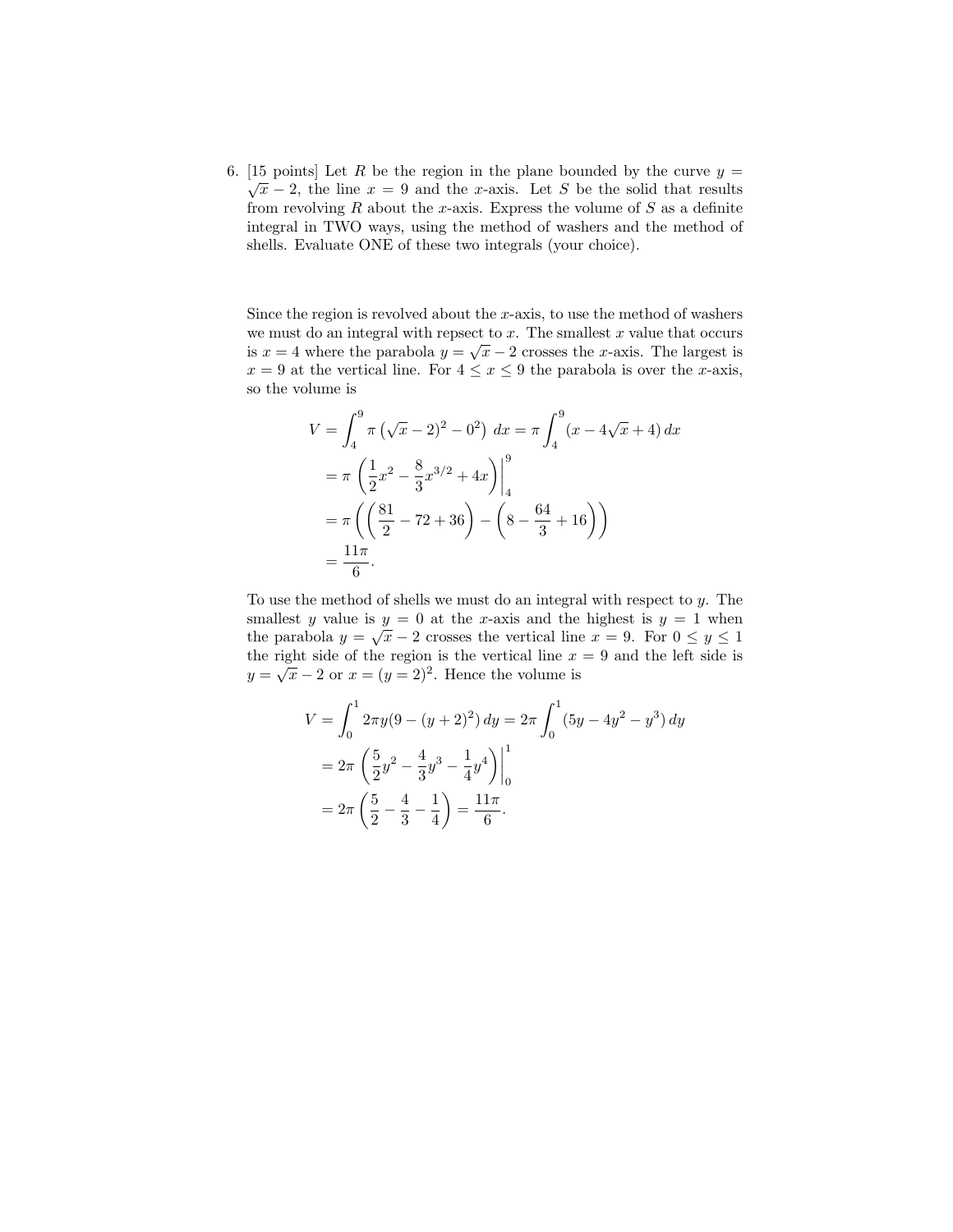6. [15 points] Let R be the region in the plane bounded by the curve  $y =$  $\sqrt{x} - 2$ , the line  $x = 9$  and the x-axis. Let S be the solid that results from revolving  $R$  about the x-axis. Express the volume of  $S$  as a definite integral in TWO ways, using the method of washers and the method of shells. Evaluate ONE of these two integrals (your choice).

Since the region is revolved about the  $x$ -axis, to use the method of washers we must do an integral with repsect to x. The smallest x value that occurs is  $x = 4$  where the parabola  $y = \sqrt{x} - 2$  crosses the x-axis. The largest is  $x = 9$  at the vertical line. For  $4 \le x \le 9$  the parabola is over the *x*-axis, so the volume is

$$
V = \int_{4}^{9} \pi \left(\sqrt{x} - 2\right)^{2} - 0^{2}\right) dx = \pi \int_{4}^{9} (x - 4\sqrt{x} + 4) dx
$$
  
=  $\pi \left(\frac{1}{2}x^{2} - \frac{8}{3}x^{3/2} + 4x\right)\Big|_{4}^{9}$   
=  $\pi \left(\left(\frac{81}{2} - 72 + 36\right) - \left(8 - \frac{64}{3} + 16\right)\right)$   
=  $\frac{11\pi}{6}$ .

To use the method of shells we must do an integral with respect to  $y$ . The smallest y value is  $y = 0$  at the x-axis and the highest is  $y = 1$  when the parabola  $y = \sqrt{x} - 2$  crosses the vertical line  $x = 9$ . For  $0 \le y \le 1$ the right side of the region is the vertical line  $x = 9$  and the left side is the right side of the region is the vertical line x<br> $y = \sqrt{x} - 2$  or  $x = (y = 2)^2$ . Hence the volume is

$$
V = \int_0^1 2\pi y (9 - (y + 2)^2) dy = 2\pi \int_0^1 (5y - 4y^2 - y^3) dy
$$
  
=  $2\pi \left(\frac{5}{2}y^2 - \frac{4}{3}y^3 - \frac{1}{4}y^4\right)\Big|_0^1$   
=  $2\pi \left(\frac{5}{2} - \frac{4}{3} - \frac{1}{4}\right) = \frac{11\pi}{6}.$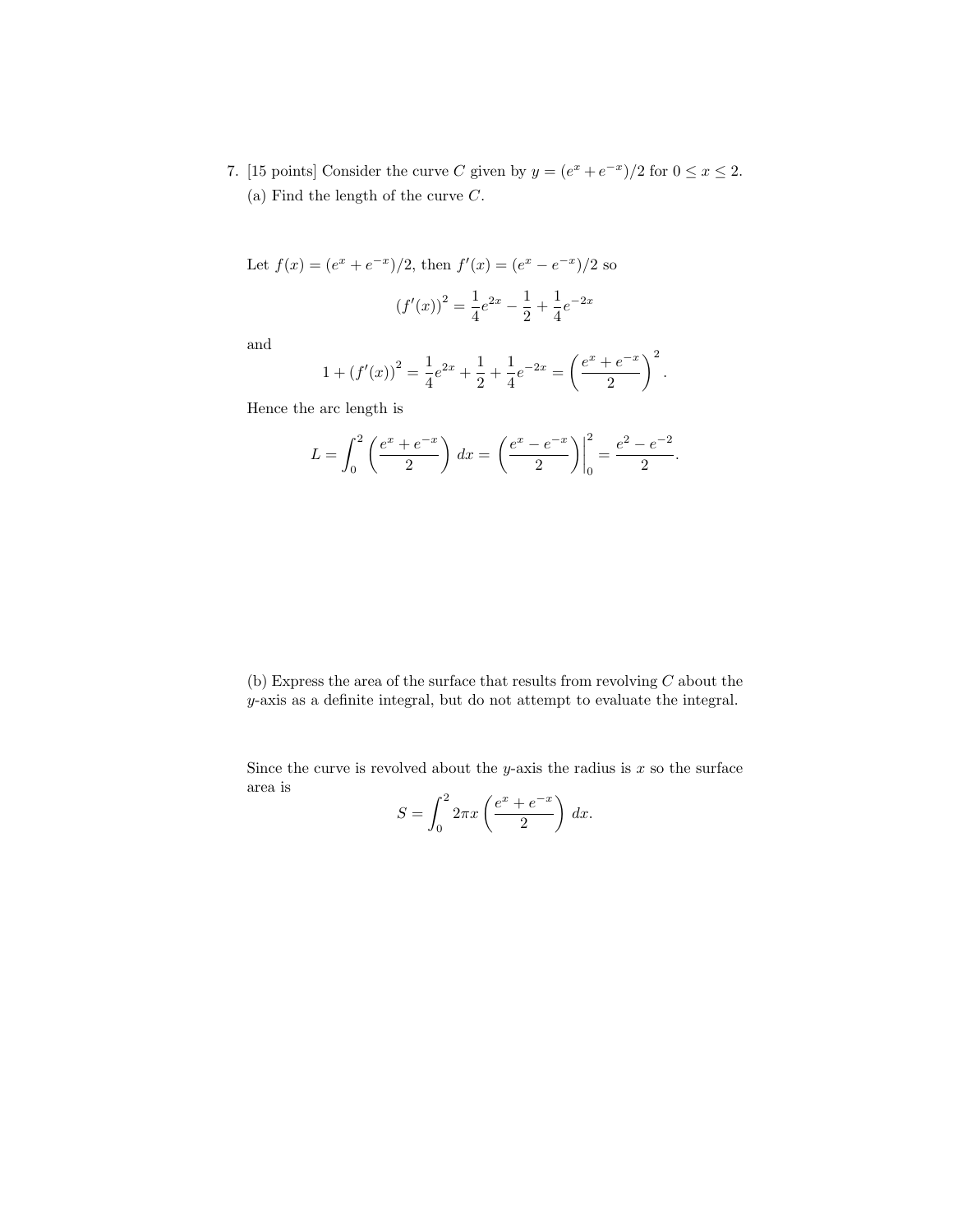7. [15 points] Consider the curve C given by  $y = (e^x + e^{-x})/2$  for  $0 \le x \le 2$ . (a) Find the length of the curve  $C$ .

Let 
$$
f(x) = (e^x + e^{-x})/2
$$
, then  $f'(x) = (e^x - e^{-x})/2$  so  
\n
$$
(f'(x))^2 = \frac{1}{4}e^{2x} - \frac{1}{2} + \frac{1}{4}e^{-2x}
$$

and

$$
1 + (f'(x))^{2} = \frac{1}{4}e^{2x} + \frac{1}{2} + \frac{1}{4}e^{-2x} = \left(\frac{e^{x} + e^{-x}}{2}\right)^{2}.
$$

Hence the arc length is

$$
L = \int_0^2 \left( \frac{e^x + e^{-x}}{2} \right) dx = \left( \frac{e^x - e^{-x}}{2} \right) \Big|_0^2 = \frac{e^2 - e^{-2}}{2}.
$$

(b) Express the area of the surface that results from revolving  $C$  about the y-axis as a definite integral, but do not attempt to evaluate the integral.

Since the curve is revolved about the y-axis the radius is  $x$  so the surface area is  $\overline{a}$ 

$$
S = \int_0^2 2\pi x \left( \frac{e^x + e^{-x}}{2} \right) dx.
$$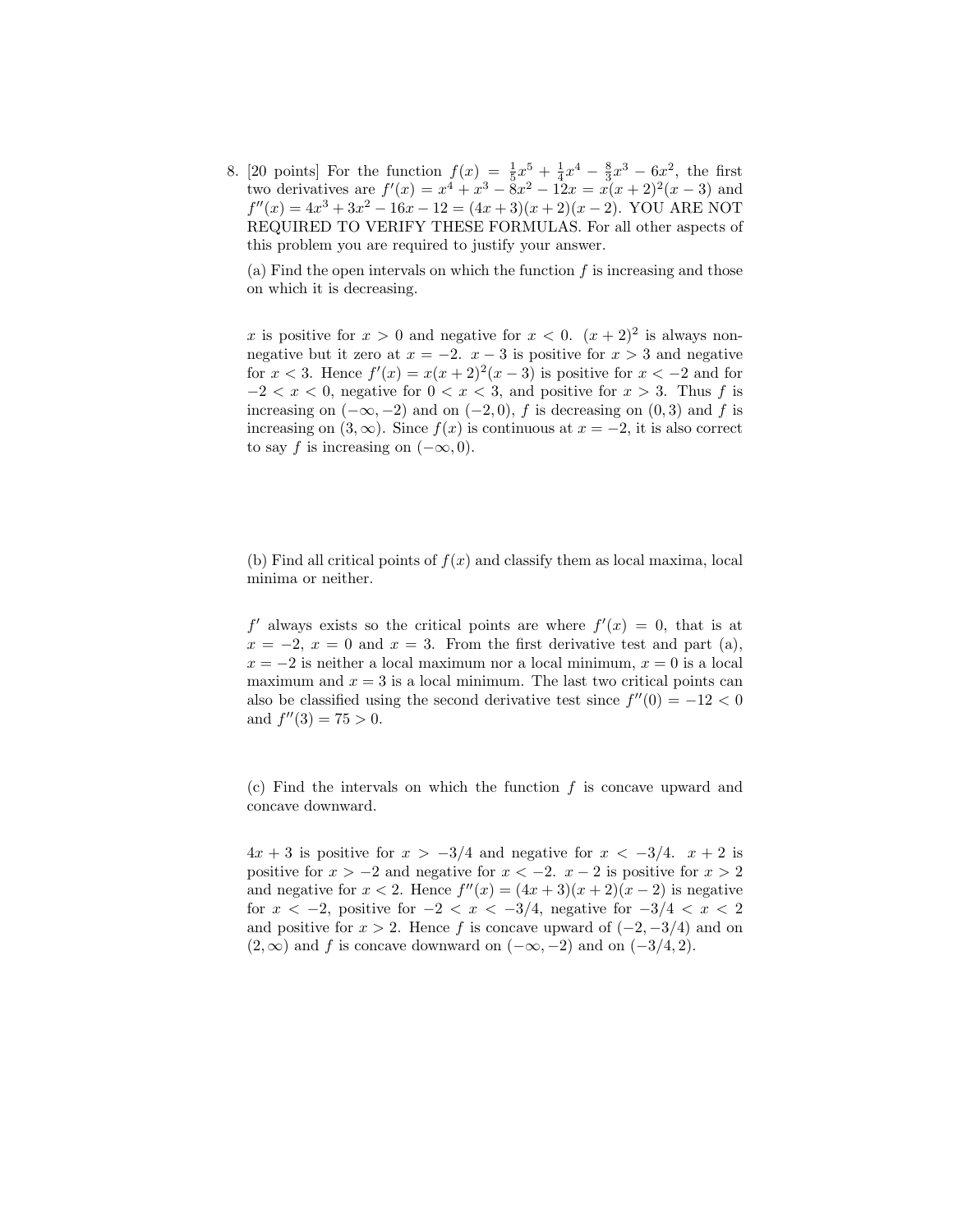8. [20 points] For the function  $f(x) = \frac{1}{5}x^5 + \frac{1}{4}x^4 - \frac{8}{3}x^3 - 6x^2$ , the first two derivatives are  $f'(x) = x^4 + x^3 - 8x^2 - 12x = x(x+2)^2(x-3)$  and  $f''(x) = 4x^3 + 3x^2 - 16x - 12 = (4x + 3)(x + 2)(x - 2)$ . YOU ARE NOT REQUIRED TO VERIFY THESE FORMULAS. For all other aspects of this problem you are required to justify your answer.

(a) Find the open intervals on which the function  $f$  is increasing and those on which it is decreasing.

x is positive for  $x > 0$  and negative for  $x < 0$ .  $(x + 2)^2$  is always nonnegative but it zero at  $x = -2$ .  $x - 3$  is positive for  $x > 3$  and negative for  $x < 3$ . Hence  $f'(x) = x(x+2)^2(x-3)$  is positive for  $x < -2$  and for  $-2 < x < 0$ , negative for  $0 < x < 3$ , and positive for  $x > 3$ . Thus f is increasing on  $(-\infty, -2)$  and on  $(-2, 0)$ , f is decreasing on  $(0, 3)$  and f is increasing on  $(3, \infty)$ . Since  $f(x)$  is continuous at  $x = -2$ , it is also correct to say f is increasing on  $(-\infty, 0)$ .

(b) Find all critical points of  $f(x)$  and classify them as local maxima, local minima or neither.

 $f'$  always exists so the critical points are where  $f'(x) = 0$ , that is at  $x = -2$ ,  $x = 0$  and  $x = 3$ . From the first derivative test and part (a),  $x = -2$  is neither a local maximum nor a local minimum,  $x = 0$  is a local maximum and  $x = 3$  is a local minimum. The last two critical points can also be classified using the second derivative test since  $f''(0) = -12 < 0$ and  $f''(3) = 75 > 0$ .

(c) Find the intervals on which the function  $f$  is concave upward and concave downward.

 $4x + 3$  is positive for  $x > -3/4$  and negative for  $x < -3/4$ .  $x + 2$  is positive for  $x > -2$  and negative for  $x < -2$ .  $x - 2$  is positive for  $x > 2$ and negative for  $x < 2$ . Hence  $f''(x) = (4x+3)(x+2)(x-2)$  is negative for  $x < -2$ , positive for  $-2 < x < -3/4$ , negative for  $-3/4 < x < 2$ and positive for  $x > 2$ . Hence f is concave upward of  $(-2, -3/4)$  and on  $(2,\infty)$  and f is concave downward on  $(-\infty,-2)$  and on  $(-3/4,2)$ .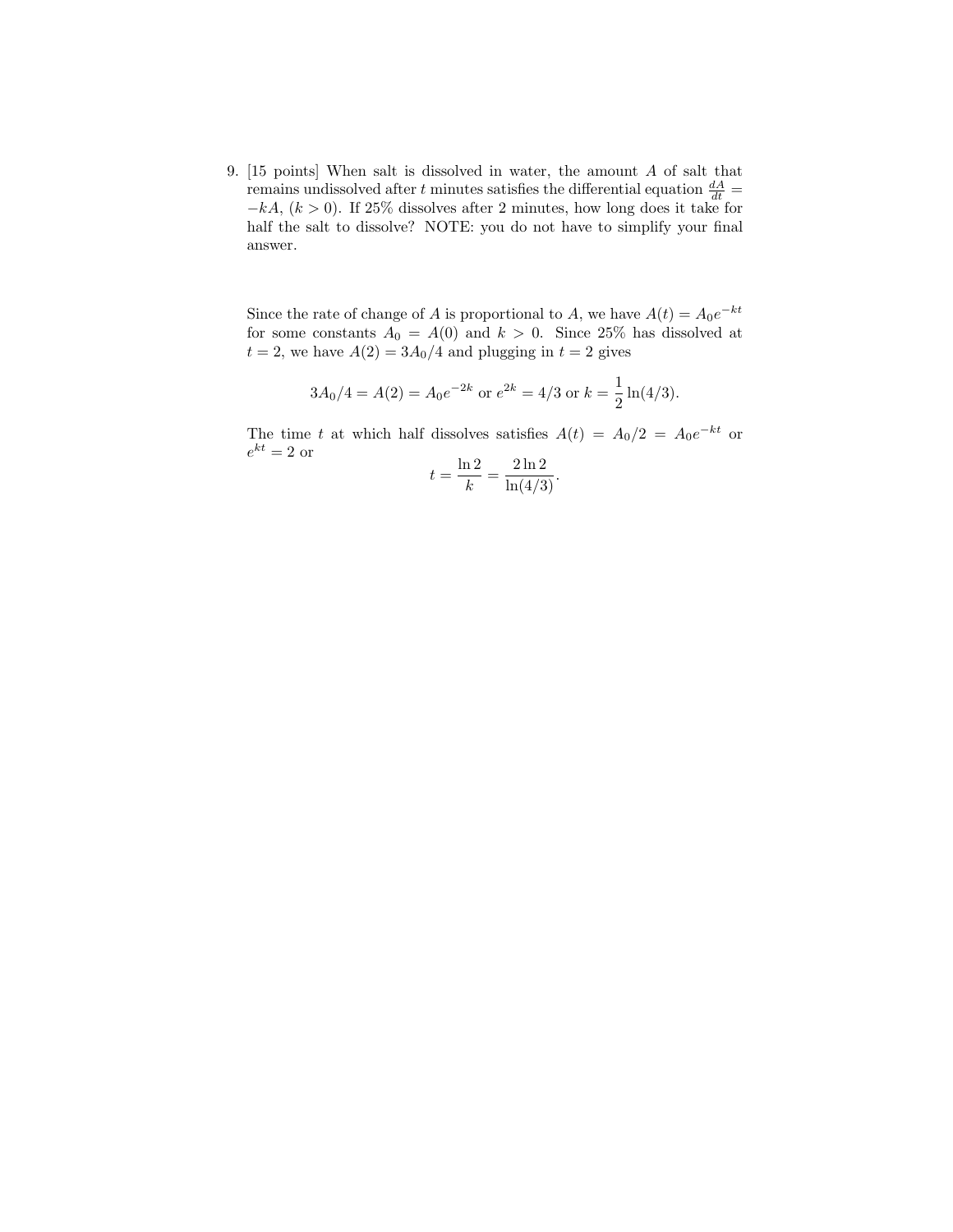9. [15 points] When salt is dissolved in water, the amount A of salt that remains undissolved after t minutes satisfies the differential equation  $\frac{dA}{dt}$  =  $-kA$ ,  $(k > 0)$ . If 25% dissolves after 2 minutes, how long does it take for half the salt to dissolve? NOTE: you do not have to simplify your final answer.

Since the rate of change of A is proportional to A, we have  $A(t) = A_0 e^{-kt}$ for some constants  $A_0 = A(0)$  and  $k > 0$ . Since 25% has dissolved at  $t = 2$ , we have  $A(2) = 3A_0/4$  and plugging in  $t = 2$  gives

$$
3A_0/4 = A(2) = A_0 e^{-2k}
$$
 or  $e^{2k} = 4/3$  or  $k = \frac{1}{2} \ln(4/3)$ .

The time t at which half dissolves satisfies  $A(t) = A_0/2 = A_0 e^{-kt}$  or  $e^{kt} = 2 \text{ or }$   $\ln 2 = 2 \ln 2$ 

$$
t = \frac{\ln 2}{k} = \frac{2 \ln 2}{\ln(4/3)}.
$$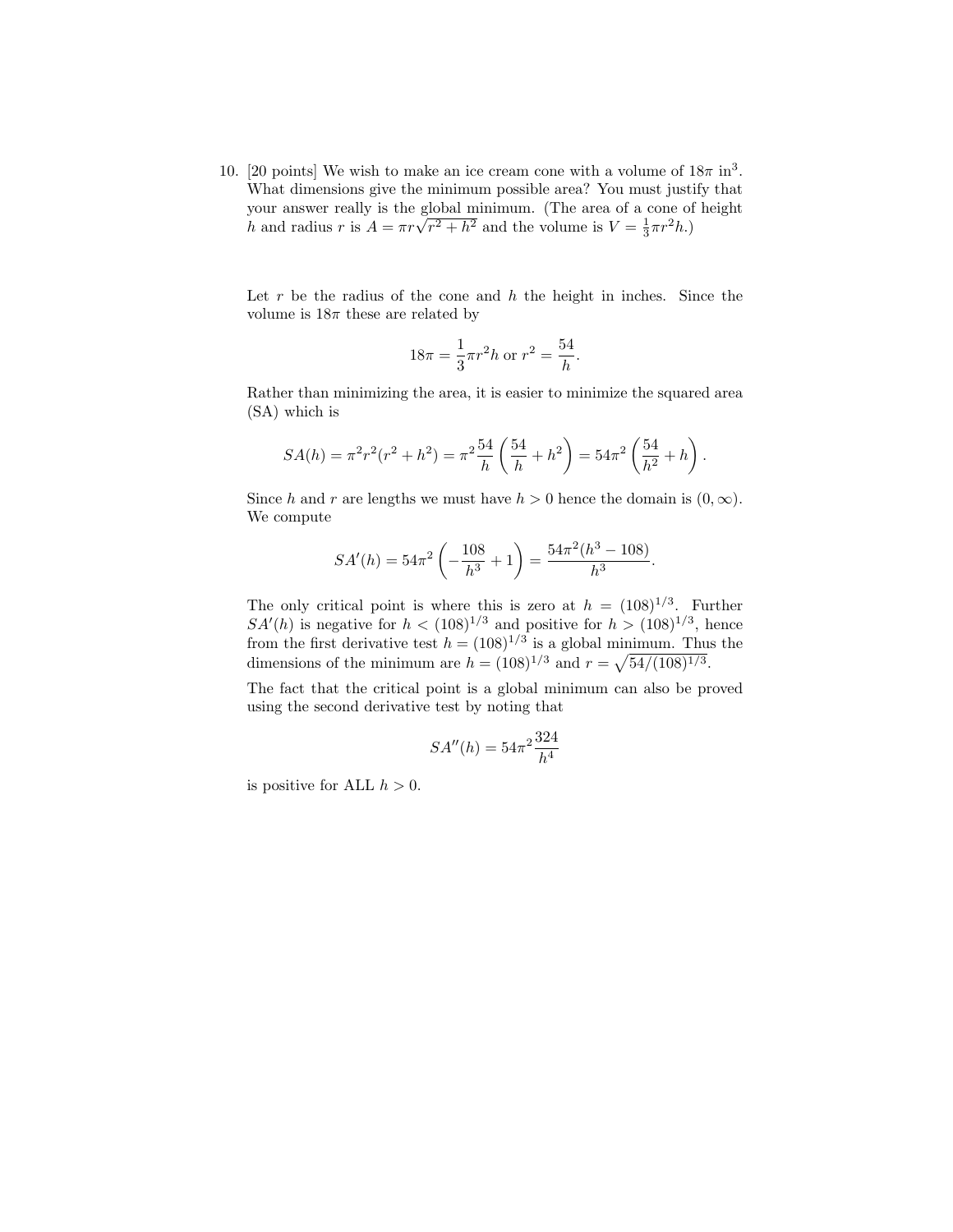10. [20 points] We wish to make an ice cream cone with a volume of  $18\pi$  in<sup>3</sup>. What dimensions give the minimum possible area? You must justify that your answer really is the global minimum. (The area of a cone of height  $h$  and radius  $r$  is  $A = \pi r \sqrt{r^2 + h^2}$  and the volume is  $V = \frac{1}{3} \pi r^2 h$ .)

Let  $r$  be the radius of the cone and  $h$  the height in inches. Since the volume is  $18\pi$  these are related by

$$
18\pi = \frac{1}{3}\pi r^2 h \text{ or } r^2 = \frac{54}{h}.
$$

Rather than minimizing the area, it is easier to minimize the squared area (SA) which is

$$
SA(h) = \pi^2 r^2 (r^2 + h^2) = \pi^2 \frac{54}{h} \left(\frac{54}{h} + h^2\right) = 54\pi^2 \left(\frac{54}{h^2} + h\right).
$$

Since h and r are lengths we must have  $h > 0$  hence the domain is  $(0, \infty)$ . We compute

$$
SA'(h) = 54\pi^2 \left(-\frac{108}{h^3} + 1\right) = \frac{54\pi^2 (h^3 - 108)}{h^3}.
$$

The only critical point is where this is zero at  $h = (108)^{1/3}$ . Further  $SA'(h)$  is negative for  $h < (108)^{1/3}$  and positive for  $h > (108)^{1/3}$ , hence from the first derivative test  $h = (108)^{1/3}$  is a global minimum. Thus the dimensions of the minimum are  $h = (108)^{1/3}$  and  $r = \sqrt{54/(108)^{1/3}}$ .

The fact that the critical point is a global minimum can also be proved using the second derivative test by noting that

$$
SA''(h) = 54\pi^2 \frac{324}{h^4}
$$

is positive for ALL  $h > 0$ .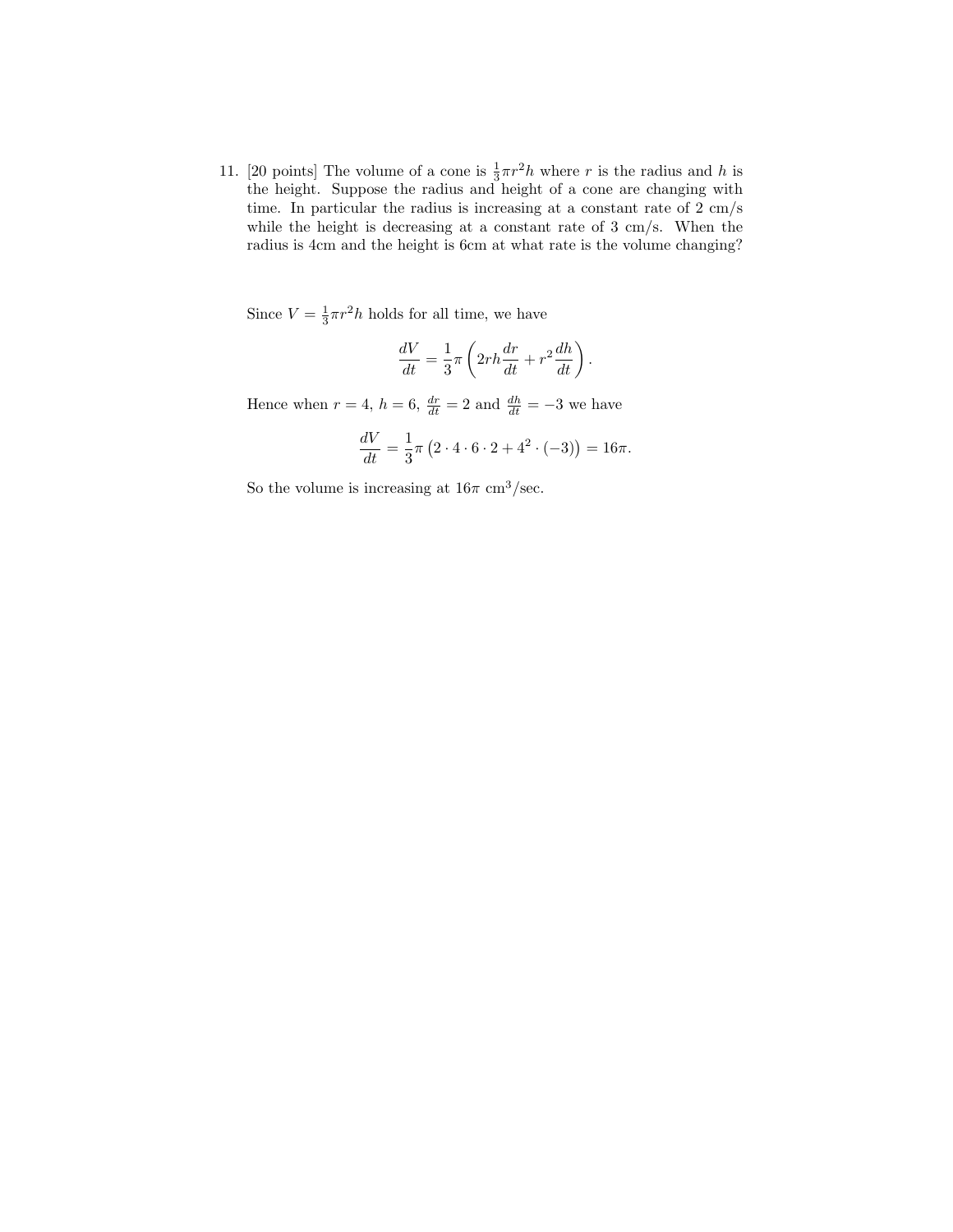11. [20 points] The volume of a cone is  $\frac{1}{3}\pi r^2 h$  where r is the radius and h is the height. Suppose the radius and height of a cone are changing with time. In particular the radius is increasing at a constant rate of 2 cm/s while the height is decreasing at a constant rate of 3 cm/s. When the radius is 4cm and the height is 6cm at what rate is the volume changing?

Since  $V = \frac{1}{3}\pi r^2 h$  holds for all time, we have

$$
\frac{dV}{dt} = \frac{1}{3}\pi \left(2rh\frac{dr}{dt} + r^2\frac{dh}{dt}\right).
$$

Hence when  $r = 4$ ,  $h = 6$ ,  $\frac{dr}{dt} = 2$  and  $\frac{dh}{dt} = -3$  we have

$$
\frac{dV}{dt} = \frac{1}{3}\pi (2 \cdot 4 \cdot 6 \cdot 2 + 4^2 \cdot (-3)) = 16\pi.
$$

So the volume is increasing at  $16\pi \text{ cm}^3/\text{sec}$ .